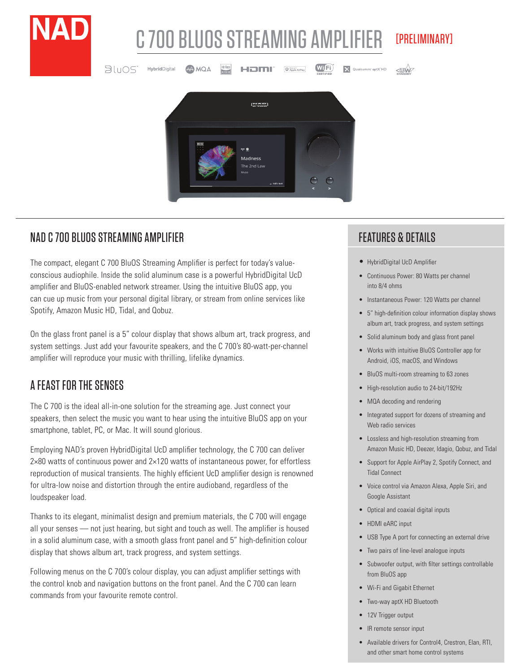

#### C 700 BLUOS STREAMING AMPLIFIER [PRELIMINARY]

 $\boxed{\textcircled{2}$  Apple AirPlay

 $W$  $F$ i $)$ 

V Qualcomm' aptX'HD

 $\overline{\left.05W}\right.$ 

الصمعي Madness The 2nd Law  $\subset$ 

HOMI

## NAD C 700 BLUOS STREAMING AMPLIFIER

**BluOS** 

HybridDigital

AA MOA

The compact, elegant C 700 BluOS Streaming Amplifier is perfect for today's valueconscious audiophile. Inside the solid aluminum case is a powerful HybridDigital UcD amplifier and BluOS-enabled network streamer. Using the intuitive BluOS app, you can cue up music from your personal digital library, or stream from online services like Spotify, Amazon Music HD, Tidal, and Qobuz.

On the glass front panel is a 5" colour display that shows album art, track progress, and system settings. Just add your favourite speakers, and the C 700's 80-watt-per-channel amplifier will reproduce your music with thrilling, lifelike dynamics.

## A FEAST FOR THE SENSES

The C 700 is the ideal all-in-one solution for the streaming age. Just connect your speakers, then select the music you want to hear using the intuitive BluOS app on your smartphone, tablet, PC, or Mac. It will sound glorious.

Employing NAD's proven HybridDigital UcD amplifier technology, the C 700 can deliver 2×80 watts of continuous power and 2×120 watts of instantaneous power, for effortless reproduction of musical transients. The highly efficient UcD amplifier design is renowned for ultra-low noise and distortion through the entire audioband, regardless of the loudspeaker load.

Thanks to its elegant, minimalist design and premium materials, the C 700 will engage all your senses — not just hearing, but sight and touch as well. The amplifier is housed in a solid aluminum case, with a smooth glass front panel and 5" high-definition colour display that shows album art, track progress, and system settings.

Following menus on the C 700's colour display, you can adjust amplifier settings with the control knob and navigation buttons on the front panel. And the C 700 can learn commands from your favourite remote control.

# FEATURES & DETAILS

- HybridDigital UcD Amplifier
- Continuous Power: 80 Watts per channel into 8/4 ohms
- Instantaneous Power: 120 Watts per channel
- 5" high-definition colour information display shows album art, track progress, and system settings
- Solid aluminum body and glass front panel
- Works with intuitive BluOS Controller app for Android, iOS, macOS, and Windows
- BluOS multi-room streaming to 63 zones
- High-resolution audio to 24-bit/192Hz
- MQA decoding and rendering
- Integrated support for dozens of streaming and Web radio services
- Lossless and high-resolution streaming from Amazon Music HD, Deezer, Idagio, Qobuz, and Tidal
- Support for Apple AirPlay 2, Spotify Connect, and Tidal Connect
- Voice control via Amazon Alexa, Apple Siri, and Google Assistant
- Optical and coaxial digital inputs
- HDMI eARC input
- USB Type A port for connecting an external drive
- Two pairs of line-level analogue inputs
- Subwoofer output, with filter settings controllable from BluOS app
- Wi-Fi and Gigabit Ethernet
- Two-way aptX HD Bluetooth
- 12V Trigger output
- IR remote sensor input
- Available drivers for Control4, Crestron, Elan, RTI, and other smart home control systems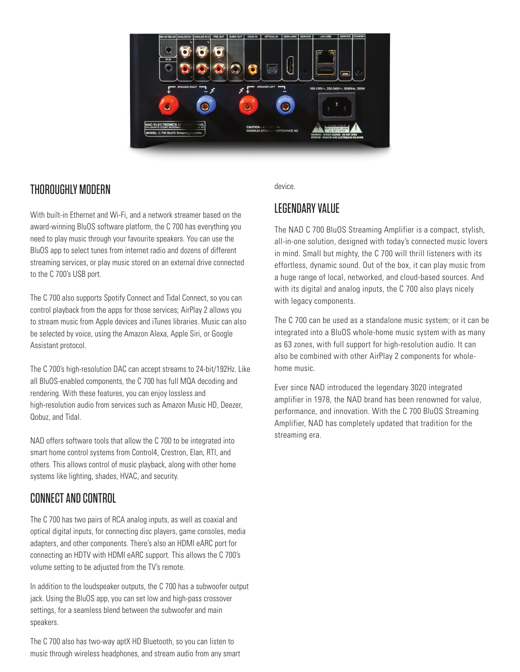

#### THOROUGHLY MODERN

With built-in Ethernet and Wi-Fi, and a network streamer based on the award-winning BluOS software platform, the C 700 has everything you need to play music through your favourite speakers. You can use the BluOS app to select tunes from internet radio and dozens of different streaming services, or play music stored on an external drive connected to the C 700's USB port.

The C 700 also supports Spotify Connect and Tidal Connect, so you can control playback from the apps for those services; AirPlay 2 allows you to stream music from Apple devices and iTunes libraries. Music can also be selected by voice, using the Amazon Alexa, Apple Siri, or Google Assistant protocol.

The C 700's high-resolution DAC can accept streams to 24-bit/192Hz. Like all BluOS-enabled components, the C 700 has full MQA decoding and rendering. With these features, you can enjoy lossless and high-resolution audio from services such as Amazon Music HD, Deezer, Qobuz, and Tidal.

NAD offers software tools that allow the C 700 to be integrated into smart home control systems from Control4, Crestron, Elan, RTI, and others. This allows control of music playback, along with other home systems like lighting, shades, HVAC, and security.

#### CONNECT AND CONTROL

The C 700 has two pairs of RCA analog inputs, as well as coaxial and optical digital inputs, for connecting disc players, game consoles, media adapters, and other components. There's also an HDMI eARC port for connecting an HDTV with HDMI eARC support. This allows the C 700's volume setting to be adjusted from the TV's remote.

In addition to the loudspeaker outputs, the C 700 has a subwoofer output jack. Using the BluOS app, you can set low and high-pass crossover settings, for a seamless blend between the subwoofer and main speakers.

The C 700 also has two-way aptX HD Bluetooth, so you can listen to music through wireless headphones, and stream audio from any smart device.

### LEGENDARY VALUE

The NAD C 700 BluOS Streaming Amplifier is a compact, stylish, all-in-one solution, designed with today's connected music lovers in mind. Small but mighty, the C 700 will thrill listeners with its effortless, dynamic sound. Out of the box, it can play music from a huge range of local, networked, and cloud-based sources. And with its digital and analog inputs, the C 700 also plays nicely with legacy components.

The C 700 can be used as a standalone music system; or it can be integrated into a BluOS whole-home music system with as many as 63 zones, with full support for high-resolution audio. It can also be combined with other AirPlay 2 components for wholehome music.

Ever since NAD introduced the legendary 3020 integrated amplifier in 1978, the NAD brand has been renowned for value, performance, and innovation. With the C 700 BluOS Streaming Amplifier, NAD has completely updated that tradition for the streaming era.